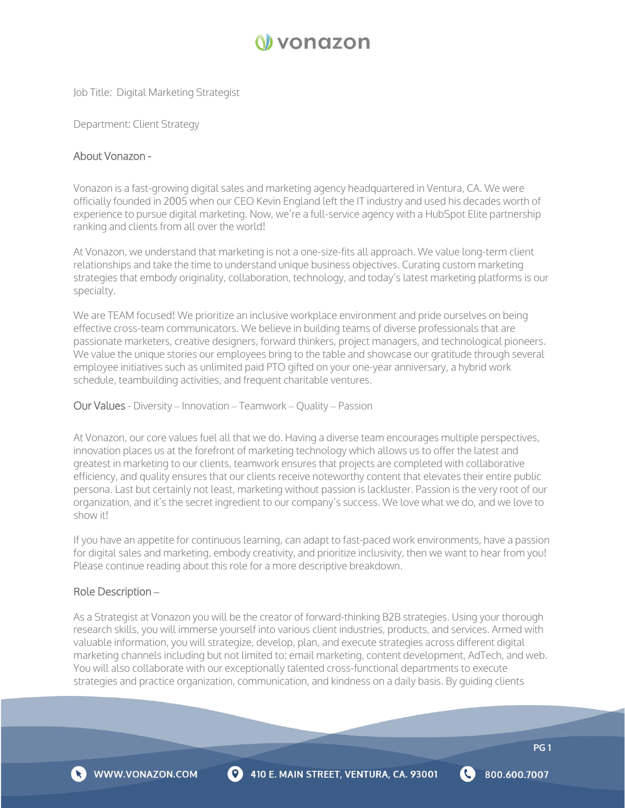

Job Title: Digital Marketing Strategist

Department: Client Strategy

#### About Vonazon -

Vonazon is a fast-growing digital sales and marketing agency headquartered in Ventura, CA. We were officially founded in 2005 when our CEO Kevin England left the IT industry and used his decades worth of experience to pursue digital marketing. Now, we're a full-service agency with a HubSpot Elite partnership ranking and clients from all over the world!

At Vonazon, we understand that marketing is not a one-size-fits all approach. We value long-term client relationships and take the time to understand unique business objectives. Curating custom marketing strategies that embody originality, collaboration, technology, and today's latest marketing platforms is our specialty.

We are TEAM focused! We prioritize an inclusive workplace environment and pride ourselves on being effective cross-team communicators. We believe in building teams of diverse professionals that are passionate marketers, creative designers, forward thinkers, project managers, and technological pioneers. We value the unique stories our employees bring to the table and showcase our gratitude through several employee initiatives such as unlimited paid PTO gifted on your one-year anniversary, a hybrid work schedule, teambuilding activities, and frequent charitable ventures.

Our Values - Diversity – Innovation – Teamwork – Quality – Passion

At Vonazon, our core values fuel all that we do. Having a diverse team encourages multiple perspectives, innovation places us at the forefront of marketing technology which allows us to offer the latest and greatest in marketing to our clients, teamwork ensures that projects are completed with collaborative efficiency, and quality ensures that our clients receive noteworthy content that elevates their entire public persona. Last but certainly not least, marketing without passion is lackluster. Passion is the very root of our organization, and it's the secret ingredient to our company's success. We love what we do, and we love to show it!

If you have an appetite for continuous learning, can adapt to fast-paced work environments, have a passion for digital sales and marketing, embody creativity, and prioritize inclusivity, then we want to hear from you! Please continue reading about this role for a more descriptive breakdown.

## Role Description **–**

As a Strategist at Vonazon you will be the creator of forward-thinking B2B strategies. Using your thorough research skills, you will immerse yourself into various client industries, products, and services. Armed with valuable information, you will strategize, develop, plan, and execute strategies across different digital marketing channels including but not limited to: email marketing, content development, AdTech, and web. You will also collaborate with our exceptionally talented cross-functional departments to execute strategies and practice organization, communication, and kindness on a daily basis. By guiding clients



800.600.7007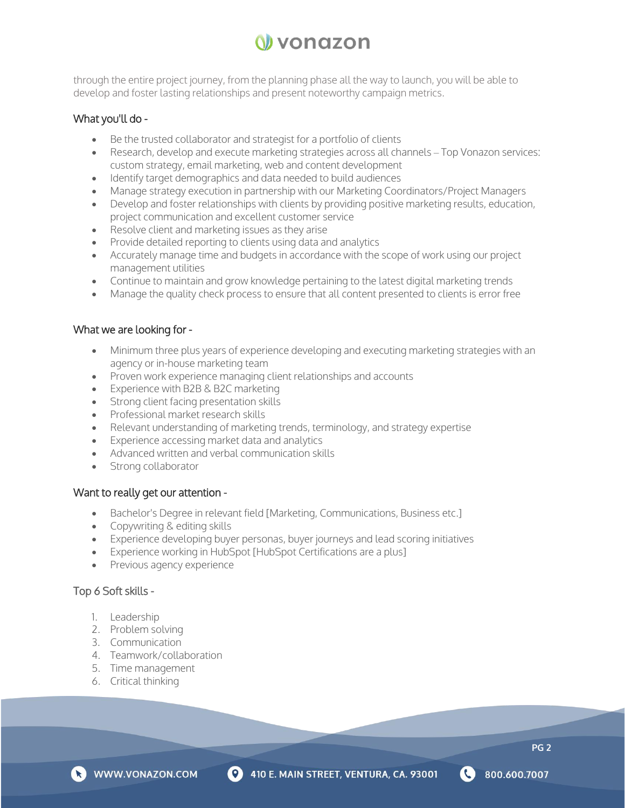# N vonazon

through the entire project journey, from the planning phase all the way to launch, you will be able to develop and foster lasting relationships and present noteworthy campaign metrics.

# What you'll do -

- Be the trusted collaborator and strategist for a portfolio of clients
- Research, develop and execute marketing strategies across all channels Top Vonazon services: custom strategy, email marketing, web and content development
- Identify target demographics and data needed to build audiences
- Manage strategy execution in partnership with our Marketing Coordinators/Project Managers
- Develop and foster relationships with clients by providing positive marketing results, education, project communication and excellent customer service
- Resolve client and marketing issues as they arise
- Provide detailed reporting to clients using data and analytics
- Accurately manage time and budgets in accordance with the scope of work using our project management utilities
- Continue to maintain and grow knowledge pertaining to the latest digital marketing trends
- Manage the quality check process to ensure that all content presented to clients is error free

# What we are looking for -

- Minimum three plus years of experience developing and executing marketing strategies with an agency or in-house marketing team
- Proven work experience managing client relationships and accounts
- Experience with B2B & B2C marketing
- Strong client facing presentation skills
- Professional market research skills
- Relevant understanding of marketing trends, terminology, and strategy expertise
- Experience accessing market data and analytics
- Advanced written and verbal communication skills
- Strong collaborator

## Want to really get our attention -

- Bachelor's Degree in relevant field [Marketing, Communications, Business etc.]
- Copywriting & editing skills
- Experience developing buyer personas, buyer journeys and lead scoring initiatives
- Experience working in HubSpot [HubSpot Certifications are a plus]
- Previous agency experience

# Top 6 Soft skills -

- 1. Leadership
- 2. Problem solving
- 3. Communication
- 4. Teamwork/collaboration
- 5. Time management
- 6. Critical thinking





**PG 2**